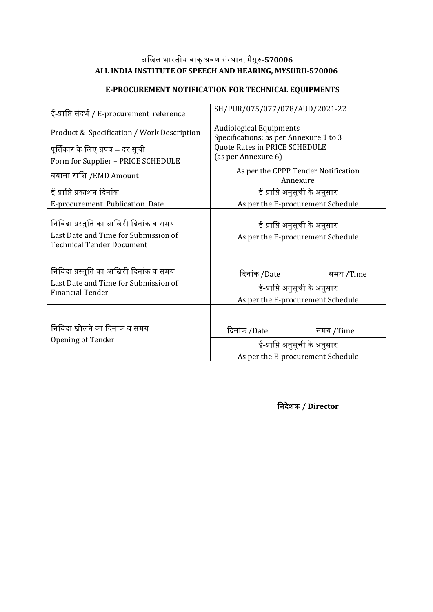## अखिल भारतीय वाक्शवर संस्ाा, मैसूर**-570006 ALL INDIA INSTITUTE OF SPEECH AND HEARING, MYSURU-570006**

# **E-PROCUREMENT NOTIFICATION FOR TECHNICAL EQUIPMENTS**

| ई-प्राप्ति संदर्भ / E-procurement reference                                                                        | SH/PUR/075/077/078/AUD/2021-22                                           |           |  |  |  |
|--------------------------------------------------------------------------------------------------------------------|--------------------------------------------------------------------------|-----------|--|--|--|
| Product & Specification / Work Description                                                                         | <b>Audiological Equipments</b><br>Specifications: as per Annexure 1 to 3 |           |  |  |  |
| पूर्तिकार के लिए प्रपत्र – दर सूची                                                                                 | Quote Rates in PRICE SCHEDULE                                            |           |  |  |  |
| Form for Supplier - PRICE SCHEDULE                                                                                 | (as per Annexure 6)                                                      |           |  |  |  |
| बयाना राशि /EMD Amount                                                                                             | As per the CPPP Tender Notification<br>Annexure                          |           |  |  |  |
| ई-प्राप्ति प्रकाशन दिनांक                                                                                          | ई-प्राप्ति अनुसूची के अनुसार                                             |           |  |  |  |
| E-procurement Publication Date                                                                                     | As per the E-procurement Schedule                                        |           |  |  |  |
| निविदा प्रस्तुति का आखिरी दिनांक व समय<br>Last Date and Time for Submission of<br><b>Technical Tender Document</b> | ई-प्राप्ति अनुसूची के अनुसार<br>As per the E-procurement Schedule        |           |  |  |  |
| निविदा प्रस्तुति का आखिरी दिनांक व समय                                                                             | दिनांक /Date                                                             | समय /Time |  |  |  |
| Last Date and Time for Submission of                                                                               | ई-प्राप्ति अनुसूची के अनुसार                                             |           |  |  |  |
| <b>Financial Tender</b>                                                                                            | As per the E-procurement Schedule                                        |           |  |  |  |
| निविदा खोलने का दिनांक व समय                                                                                       | दिनांक /Date                                                             | समय /Time |  |  |  |
| Opening of Tender                                                                                                  | ई-प्राप्ति अनुसूची के अनुसार                                             |           |  |  |  |
|                                                                                                                    | As per the E-procurement Schedule                                        |           |  |  |  |

**निदेशक / Director**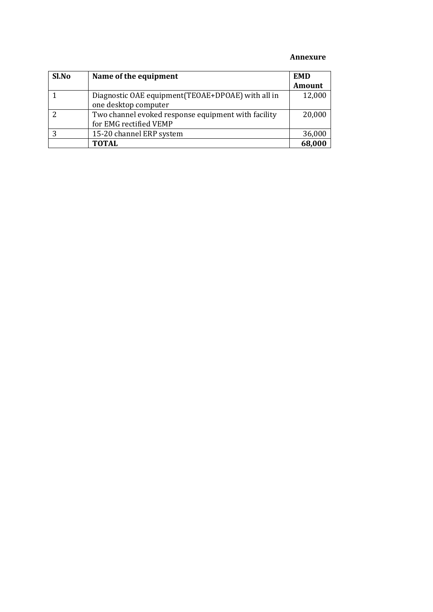#### **Annexure**

| Sl.No | Name of the equipment                               | <b>EMD</b> |
|-------|-----------------------------------------------------|------------|
|       |                                                     | Amount     |
|       | Diagnostic OAE equipment (TEOAE+DPOAE) with all in  | 12,000     |
|       | one desktop computer                                |            |
|       | Two channel evoked response equipment with facility | 20,000     |
|       | for EMG rectified VEMP                              |            |
|       | 15-20 channel ERP system                            | 36,000     |
|       | <b>TOTAL</b>                                        | 68,000     |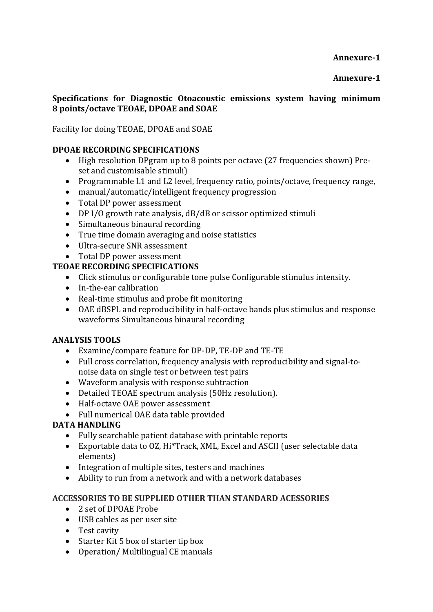## **Annexure-1**

## **Specifications for Diagnostic Otoacoustic emissions system having minimum 8 points/octave TEOAE, DPOAE and SOAE**

## Facility for doing TEOAE, DPOAE and SOAE

## **DPOAE RECORDING SPECIFICATIONS**

- High resolution DPgram up to 8 points per octave (27 frequencies shown) Pre-
- Programmable L1 and L2 level, frequency ratio, points/octave, frequency range,<br>• manual/automatic/intelligent frequency progression<br>• Total DP power assessment
- 
- 
- DP I/O growth rate analysis, dB/dB or scissor optimized stimuli<br>• Simultaneous binaural recording
- 
- True time domain averaging and noise statistics<br>
Ultra-secure SNR assessment<br>
Total DP power assessment
- 
- 

## **TEOAE RECORDING SPECIFICATIONS**

- Click stimulus or configurable tone pulse Configurable stimulus intensity. In-the-ear calibration
- 
- Real-time stimulus and probe fit monitoring
- OAE dBSPL and reproducibility in half-octave bands plus stimulus and response waveforms Simultaneous binaural recording

#### **ANALYSIS TOOLS**

- Examine/compare feature for DP-DP, TE-DP and TE-TE
- Full cross correlation, frequency analysis with reproducibility and signal-to-noise data on single test or between test pairs Waveform analysis with response subtraction
- 
- Detailed TEOAE spectrum analysis (50Hz resolution). Half-octave OAE power assessment Full numerical OAE data table provided
- 
- 

## **DATA HANDLING**

- 
- Fully searchable patient database with printable reports Exportable data to OZ, Hi\*Track, XML, Excel and ASCII (user selectable data
- 
- Integration of multiple sites, testers and machines<br>• Ability to run from a network and with a network databases

#### **ACCESSORIES TO BE SUPPLIED OTHER THAN STANDARD ACESSORIES**

- 2 set of DPOAE Probe
- USB cables as per user site
- Test cavity
- Starter Kit 5 box of starter tip box
- Operation/ Multilingual CE manuals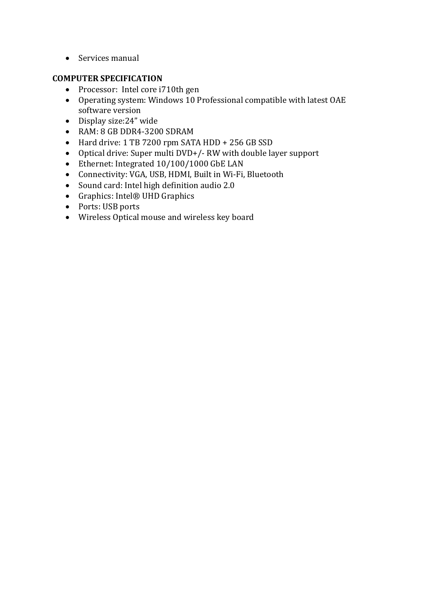• Services manual

## **COMPUTER SPECIFICATION**

- Processor: Intel core i710th gen
- Operating system: Windows 10 Professional compatible with latest OAE software version
- Display size:24" wide
- RAM: 8 GB DDR4-3200 SDRAM
- Hard drive: 1 TB 7200 rpm SATA HDD + 256 GB SSD
- Optical drive: Super multi DVD+/- RW with double layer support<br>• Ethernet: Integrated 10/100/1000 GbE LAN
- 
- Connectivity: VGA, USB, HDMI, Built in Wi-Fi, Bluetooth
- Sound card: Intel high definition audio 2.0<br>• Graphics: Intel® UHD Graphics
- 
- 
- Ports: USB ports<br>• Wireless Optical mouse and wireless key board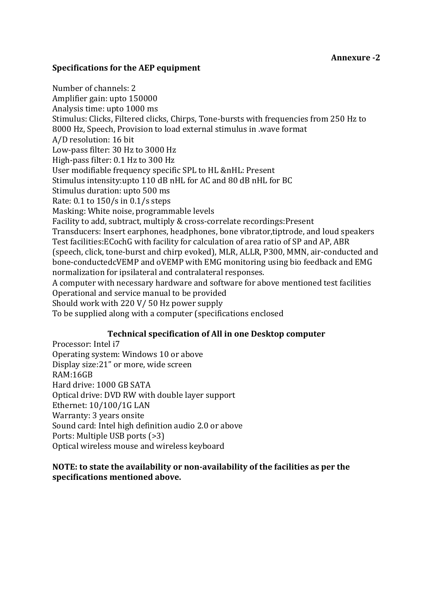#### **Annexure -2**

#### **Specifications for the AEP equipment**

Number of channels: 2 Amplifier gain: upto 150000 Analysis time: upto 1000 ms Stimulus: Clicks, Filtered clicks, Chirps, Tone-bursts with frequencies from 250 Hz to 8000 Hz, Speech, Provision to load external stimulus in .wave format A/D resolution: 16 bit Low-pass filter: 30 Hz to 3000 Hz High-pass filter: 0.1 Hz to 300 Hz User modifiable frequency specific SPL to HL &nHL: Present Stimulus intensity:upto 110 dB nHL for AC and 80 dB nHL for BC Stimulus duration: upto 500 ms Rate:  $0.1$  to  $150/s$  in  $0.1/s$  steps Masking: White noise, programmable levels Facility to add, subtract, multiply & cross-correlate recordings:Present Transducers: Insert earphones, headphones, bone vibrator,tiptrode, and loud speakers Test facilities:ECochG with facility for calculation of area ratio of SP and AP, ABR (speech, click, tone-burst and chirp evoked), MLR, ALLR, P300, MMN, air-conducted and bone-conductedcVEMP and oVEMP with EMG monitoring using bio feedback and EMG normalization for ipsilateral and contralateral responses. A computer with necessary hardware and software for above mentioned test facilities Operational and service manual to be provided Should work with 220 V/ 50 Hz power supply To be supplied along with a computer (specifications enclosed

#### **Technical specification of All in one Desktop computer**

Processor: Intel i7 Operating system: Windows 10 or above Display size:21" or more, wide screen RAM:16GB Hard drive: 1000 GB SATA Optical drive: DVD RW with double layer support Ethernet: 10/100/1G LAN Warranty: 3 years onsite Sound card: Intel high definition audio 2.0 or above Ports: Multiple USB ports (>3) Optical wireless mouse and wireless keyboard

#### **NOTE: to state the availability ornon-availability of the facilities as per the specifications mentioned above.**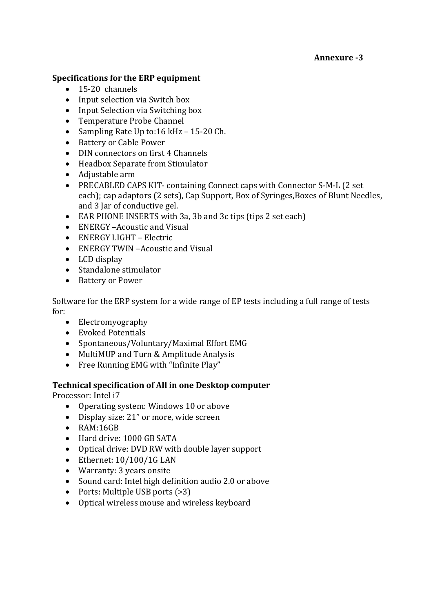## **Annexure -3**

#### **Specifications for the ERP equipment**

- 
- 15-20 channels<br>• Input selection via Switch box
- Input Selection via Switching box<br>• Temperature Probe Channel
- 
- Temperature Probe Channel<br>
Sampling Rate Up to:16 kHz 15-20 Ch.<br>
Battery or Cable Power<br>
DIN connectors on first 4 Channels<br>
Headbox Separate from Stimulator<br>
Adjustable arm
- 
- 
- 
- 
- PRECABLED CAPS KIT- containing Connect caps with Connector S-M-L (2 set each); cap adaptors (2 sets), Cap Support, Box of Syringes, Boxes of Blunt Needles, and 3 Jar of conductive gel.
- EAR PHONE INSERTS with 3a, 3b and 3c tips (tips 2 set each)<br>
ENERGY –Acoustic and Visual<br>
ENERGY TWIN –Acoustic and Visual<br>
LCD display
- 
- 
- 
- 
- Standalone stimulator<br>• Battery or Power
- 

Software for the ERP system for a wide range of EP tests including a full range of tests

- Electromyography<br>• Evoked Potentials
- 
- Spontaneous/Voluntary/Maximal Effort EMG<br>• MultiMUP and Turn & Amplitude Analysis
- 
- $\bullet$  Free Running EMG with "Infinite Play"

## **Technical specification of All in one Desktop computer**

Processor: Intel i7

- Operating system: Windows 10 or above
- Display size: 21" or more, wide screen
- RAM:16GB
- Hard drive: 1000 GB SATA
- Optical drive: DVD RW with double layer support<br>• Ethernet: 10/100/1G LAN
- 
- Warranty: 3 years onsite
- Sound card: Intel high definition audio 2.0 or above<br>• Ports: Multiple USB ports (>3)
- 
- Optical wireless mouse and wireless keyboard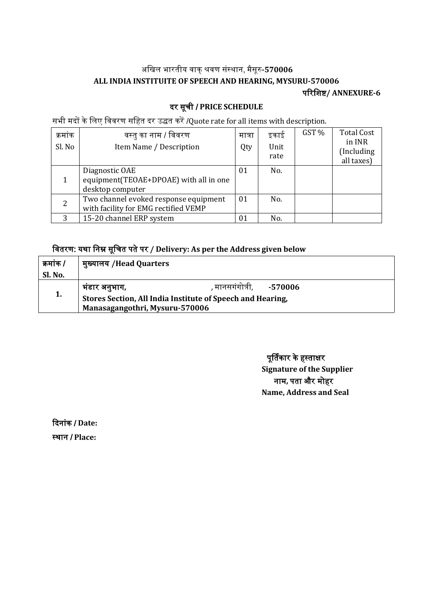# अखिल भारतीय वाक्शवर संस्ाा, मैसूर**-570006 ALL INDIA INSTITUITE OF SPEECH AND HEARING, MYSURU-570006**

पररखिष**/ ANNEXURE-6**

## दर सूची / **PRICE SCHEDULE**

सभी मदों के लिए विवरण सहित दर उद्धत करें /Quote rate for all items with description.

| क्रमाक<br>Sl. No | वस्तु का नाम / विवरण<br>Item Name / Description                               | मात्रा<br>Qty | इकाई<br>Unit<br>rate | GST % | <b>Total Cost</b><br>in INR<br>(Including)<br>all taxes) |  |
|------------------|-------------------------------------------------------------------------------|---------------|----------------------|-------|----------------------------------------------------------|--|
|                  | Diagnostic OAE<br>equipment(TEOAE+DPOAE) with all in one<br>desktop computer  | 01            | No.                  |       |                                                          |  |
| 2                | Two channel evoked response equipment<br>with facility for EMG rectified VEMP | 01            | No.                  |       |                                                          |  |
| २                | 15-20 channel ERP system                                                      | 01            | No.                  |       |                                                          |  |

# खवतरर: य्ा खाम सूखचत पतेपर **/ Delivery: As per the Address given below**

| क्रमांक / | मुख्यालय /Head Quarters                                    |                |         |  |  |
|-----------|------------------------------------------------------------|----------------|---------|--|--|
| Sl. No.   |                                                            |                |         |  |  |
|           | भंडार अनुभाग,                                              | , मानसगगोत्री, | -570006 |  |  |
| 1.        | Stores Section, All India Institute of Speech and Hearing, |                |         |  |  |
|           | Manasagangothri, Mysuru-570006                             |                |         |  |  |

पूर्तिकार के हस्ताक्षर **Signature of the Supplier** नाम, पता और मोहर **Name, Address and Seal**

ददाांक / **Date:** स्थान / Place: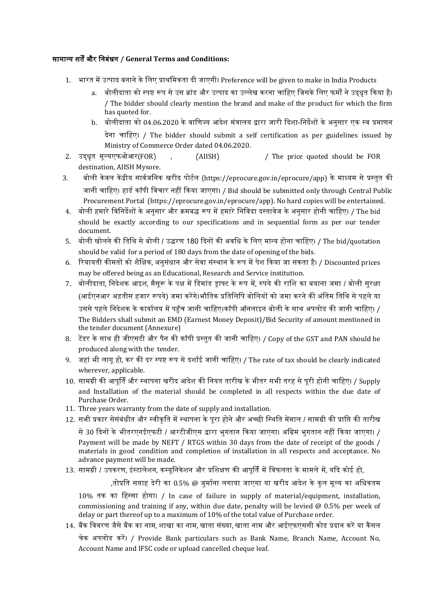#### सामानय ित्और खाबंधा **/ General Terms and Conditions:**

- 1. भारत में उत्पाद बनाने के लिए प्राथमिकता दी जाएगी। Preference will be given to make in India Products
	- a. बोलीदाता को स्पष्ट रूप से उस ब्रांड और उत्पाद का उल्लेख करना चाहिए जिसके लिए फर्मों ने उदधत किया है। / The bidder should clearly mention the brand and make of the product for which the firm has quoted for.
	- b. बोलीदाता को 04.06.2020 के वाणिज्य आदेश मंत्रालय द्वारा जारी दिशा-निर्देशों के अनुसार एक स्व प्रमाणन देना चाहिए। / The bidder should submit a self certification as per guidelines issued by Ministry of Commerce Order dated 04.06.2020.
- 2. उदधधत मूलयएफफआर(FOR) , (AIISH) / The price quoted should be FOR destination, AIISH Mysore.
- 3. बोली केवल केंद्रीय सार्वजनिक खरीद पोर्टल (https://eprocure.gov.in/eprocure/app) के माध्यम से प्रस्तुत की जानी चाहिए। हार्ड कॉपी विचार नहीं किया जाएगा। / Bid should be submitted only through Central Public Procurement Portal (https://eprocure.gov.in/eprocure/app). No hard copies will be entertained.
- 4. बोली हमारे विनिर्देशों के अनसार और क्रमबद्ध रूप में हमारे निविदा दस्तावेज के अनसार होनी चाहिए। / The bid should be exactly according to our specifications and in sequential form as per our tender document.
- 5. बोली खोलने की तिथि से बोली / उद्धरण 180 दिनों की अवधि के लिए मान्य होना चाहिए। / The bid/quotation should be valid for a period of 180 days from the date of opening of the bids.
- 6. रियायती कीमतों को शैक्षिक, अनसंधान और सेवा संस्थान के रूप में पेश किया जा सकता है। / Discounted prices may be offered being as an Educational, Research and Service institution.
- 7. बोलीदाता, निदेशक आइश, मैसरू के पक्ष में डिमांड डाफ्ट के रूप में, रुपये की राशि का बयाना जमा / बोली सरक्षा (आईएनआर अडतीस हजार रूपये) जमा करेंगे।भौतिक प्रतिलिपि बोलियों को जमा करने की अंतिम तिथि से पहले या उससे पहले निदेशक के कार्यालय में पहँच जानी चाहिए।कॉपी ऑनलाइन बोली के साथ अपलोड की जानी चाहिए। / The Bidders shall submit an EMD (Earnest Money Deposit)/Bid Security of amount mentioned in the tender document (Annexure)
- 8. टेंडर के साथ ही जीएसटी और पैन की कॉपी प्रस्तुत की जानी चाहिए। / Copy of the GST and PAN should be produced along with the tender.
- 9. जहां भी लागू हो, कर की दर स्पष्ट रूप से दर्शाई जानी चाहिए। / The rate of tax should be clearly indicated wherever, applicable.
- 10. सामग्री की आपूर्ति और स्थापना खरीद आदेश की नियत तारीख के भीतर सभी तरह से पूरी होनी चाहिए। / Supply and Installation of the material should be completed in all respects within the due date of Purchase Order.
- 11. Three years warranty from the date of supply and installation.
- 12. सभी प्रकार सेसंबंधीत और स्वीकृति में स्थापना के पुरा होने और अच्छी स्थिति मेंमाल / सामग्री की प्राप्ति की तारीख से 30 दिनों के भीतरएनईएफटी / आरटीजीएस द्वारा भगतान किया जाएगा। अग्रिम भगतान नहीं किया जाएगा। / Payment will be made by NEFT / RTGS within 30 days from the date of receipt of the goods / materials in good condition and completion of installation in all respects and acceptance. No advance payment will be made.
- 13. सामग्री / उपकरण, इंस्टालेशन, कम्युनिकेशन और प्रशिक्षण की आपूर्ति में विफलता के मामले में, यदि कोई हो,

,तोप्रति सप्ताह देरी का 0.5% @ जुर्माना लगाया जाएगा या खरीद आदेश के कल मूल्य का अधिकतम

10% तक का हिस्सा होगा। / In case of failure in supply of material/equipment, installation, commissioning and training if any, within due date, penalty will be levied  $\omega$  0.5% per week of delay or part thereof up to a maximum of 10% of the total value of Purchase order.

14. बैंक विवरण जैसे बैंक का नाम, शाखा का नाम, खाता संख्या, खाता नाम और आईएफएससी कोड प्रदान करें या कैंसल चेक अपलोड करे। / Provide Bank particulars such as Bank Name, Branch Name, Account No, Account Name and IFSC code or upload cancelled cheque leaf.